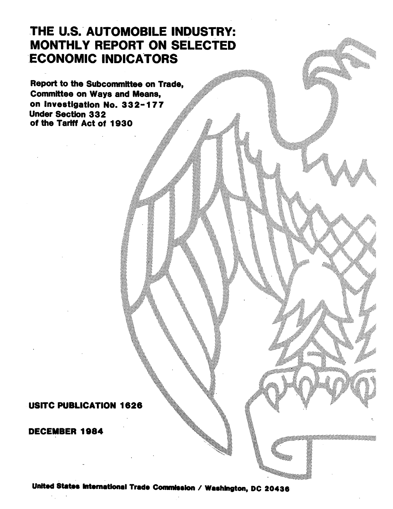# **THE U.S. AUTOMOBILE INDUSTRY: MONTHLY REPORT ON SELECTED ECONOMIC INDICATORS**

Report to the Subcommittee on Trade, Committee on Ways and Means, on Investigation No. **332-177** Under Section **332** of the Tariff Act of **1930 . .**

# **USITC PUBLICATION** 1626

#### DECEMBER 1984

United States International Trade Commisslon **/ Washigton, DC 20436**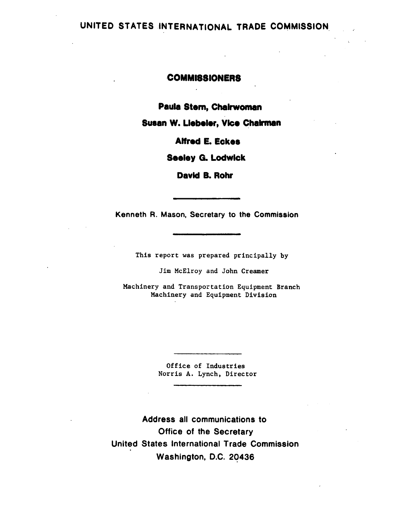## **UNITED STATES INTERNATIONAL** TRADE **COMMISSION**

### **COMMISSIONERS**

**Paula Stem, Chairwoman**

**Susan W. Llebeler, Vice Chairman**

**Alfred E. Eckes**

**Seeley G. Lodwick**

**David B. Rohr**

Kenneth R. Mason, Secretary to the Commission

This report was prepared principally **by**

Jim McElroy and John Creamer

Machinery and Transportation Equipment Branch Machinery and Equipment Division

> Office of Industries Norris **A.** Lynch, Director

Address all communications to Office of the Secretary United States International Trade Commission Washington, **D.C.** 20436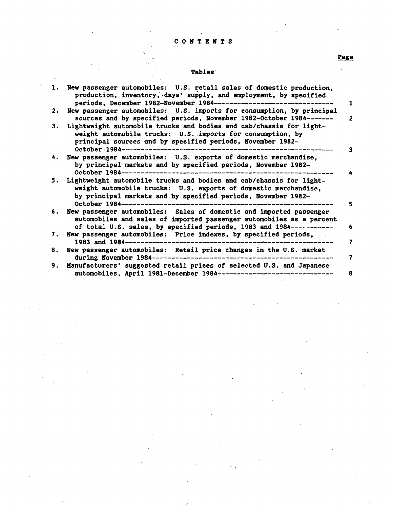#### **C 0** *NTB NTS*

Page

 $\mathbb{R}^2$ 

#### Tables

| 1. | New passenger automobiles: U.S. retail sales of domestic production,<br>production, inventory, days' supply, and employment, by specified<br>periods, December 1982-November 1984--------                                       | ı              |
|----|---------------------------------------------------------------------------------------------------------------------------------------------------------------------------------------------------------------------------------|----------------|
| 2. | New passenger automobiles: U.S. imports for consumption, by principal<br>sources and by specified periods, November 1982-October 1984-------                                                                                    | $\overline{2}$ |
| 3. | Lightweight automobile trucks and bodies and cab/chassis for light-<br>weight automobile trucks: U.S. imports for consumption, by<br>principal sources and by specified periods, November 1982-<br>October 1984----             | 3              |
| 4. | New passenger automobiles: U.S. exports of domestic merchandise,<br>by principal markets and by specified periods, November 1982-<br>October 1984---------                                                                      |                |
| 5. | Lightweight automobile trucks and bodies and cab/chassis for light-<br>weight automobile trucks: U.S. exports of domestic merchandise,<br>by principal markets and by specified periods, November 1982-<br>October 1984-------- | 5              |
| 6. | New passenger automobiles: Sales of domestic and imported passenger<br>automobiles and sales of imported passenger automobiles as a percent<br>of total U.S. sales, by specified periods, 1983 and 1984-----------              | 6              |
| 7. | New passenger automobiles: Price indexes, by specified periods,<br>1983 and $1984$ ---------------                                                                                                                              | 7              |
| 8. | New passenger automobiles: Retail price changes in the U.S. market<br>during November 1984-------                                                                                                                               | 7              |
| 9. | Manufacturers' suggested retail prices of selected U.S. and Japanese<br>automobiles, April 1981-December 1984-------------------------------                                                                                    | 8              |

þ,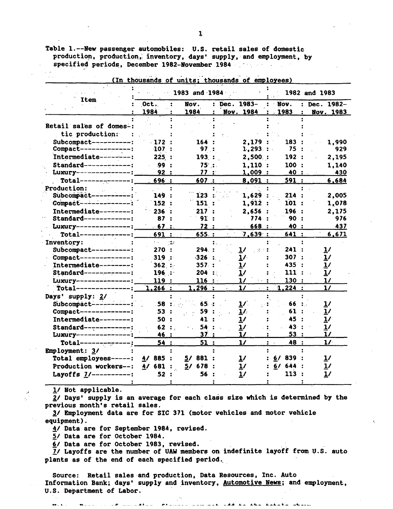Table 1.--New passenger automobiles: **U.S.** retail sales of domestic production, production,, inventory, days' supply, and employment, **by** specified periods. December 1982-November 1984

|                                                |                         | 1983 and 1984        | 1982 and 1983                |                          |                         |  |
|------------------------------------------------|-------------------------|----------------------|------------------------------|--------------------------|-------------------------|--|
| Item                                           | $0$ ct.<br>1984         | Nov.<br>1984         | Dec. 1983-<br>2<br>Nov. 1984 | Nov.<br>1983             | Dec. 1982-<br>Nov. 1983 |  |
| Retail sales of domes-:                        |                         |                      |                              |                          |                         |  |
|                                                |                         |                      |                              |                          |                         |  |
| tic production:                                |                         |                      |                              |                          |                         |  |
| Subcompact----------:<br>Compact-------------: | $\cdot$ 172<br>$-107$ : | 164<br>97:           | 2,179<br>$1,293$ :           | 183<br>75:               | 1,990<br>929            |  |
|                                                |                         |                      |                              |                          |                         |  |
| Intermediate--------:                          | 225:                    | 193:                 | $2,500.$ :                   | 192:                     | 2,195                   |  |
| Standard------------:                          | .99:                    | $75$ :               | 1,110:                       | 100:                     | 1,140                   |  |
| Luxury--------------                           | 92:                     | 77 :                 | 1,009:                       | 40 :                     | 430                     |  |
| $Total-----$                                   | 696 :                   | 607:                 | 8,091:                       | 591 :                    | 6,684                   |  |
| Production:                                    |                         |                      |                              |                          |                         |  |
| Subcompact--                                   | 149                     | $\overline{1}23$     | 1,629                        | 214:                     | 2,005                   |  |
| Compact-----------                             | 152                     | 151 :                | 1,912:                       | 101:                     | 1,078                   |  |
| Intermediate--------:                          | 236                     | 217 :                | 2,656                        | 196 :                    | 2,175                   |  |
| Standard-------------:                         | 87                      | 9I :                 | 774                          | 90 :                     | 976                     |  |
| Luxury ------------                            | .67                     | 72 :                 | 668                          | 40 :                     | 437                     |  |
| $Total-----$                                   | 691:                    | 655 :                | 7,639:                       | 641 :                    | 6,671                   |  |
| Inventory:                                     | н.                      | $\frac{1}{2}$        |                              |                          |                         |  |
| Subcompact----------:                          | 270<br>$\cdot$          | 294 :                | $\mathbf{1}$<br>ΥŻ.          | 241:                     | <u>1/</u>               |  |
| Compact--------------:                         | 319:                    | $-326$ :             | $\mathbf{1}$                 | 307:                     | $\mathbf{1}$            |  |
| Intermediate--------:                          | 362:                    | 357:                 | 1/                           | 435 :                    | $\mathbf{1}$            |  |
| Standard------------:                          | 196:                    | 204 ::               | 1/                           | 111:                     | $\mathbf{1}$            |  |
| Luxury------------                             | 119:                    | 116:                 | 1/                           | 130:                     | 1/                      |  |
| $Total-----$                                   | $1,266$ :               | <u>1,296 :</u>       | 1/                           | 1,224:<br>$\ddot{\cdot}$ | 1/                      |  |
| Days' supply: 2/                               |                         |                      |                              |                          |                         |  |
| Subcompact------                               | .58:                    | 65.                  | 1/                           | 66                       | $\mathbf{1}$            |  |
| Compact--------------:                         | 53                      | 59                   | 1/                           | 61                       | $\mathbf{1}$            |  |
| Intermediate--------:                          | 50<br>$\cdot$           | 41                   | $\mathbf{1}$                 | 45                       | $\mathbf{1}$            |  |
| Standard-------------:                         | 62:                     | 54 <sup>°</sup>      | $\mathbf{1}$                 | 43                       | $\mathbf{1}$            |  |
| Luxury------------                             | 46 :                    | 37                   | 1/                           | 53                       | 17                      |  |
| $Total---$                                     | 54:                     | 51<br>$\ddot{\cdot}$ | $\mathbf{1}$                 | 48 :<br>$\ddot{\cdot}$   | 1/                      |  |
|                                                |                         |                      |                              |                          |                         |  |
| Employment: 3/                                 |                         |                      |                              | 6/839:                   |                         |  |
| Total employees-----:                          | 4/885                   | 5/881                | $\mathbf{1}$                 |                          | $\mathbf{1}$            |  |
| Production workers--:                          | 681<br>4/               | 5/678                | <u>1</u> /                   | 6/644:                   | $\mathbf{1}^{\prime}$   |  |
| Layoffs $1/$ ----------:                       | 52                      | 56                   | 1/                           | 113                      | 1/                      |  |

(In thousands of units; thousands of employees)

**1/** Not applicable.

2/ Days' supply is an average for each class size which is determined **by** the previous month's retail sales.

**3/** Employment data are for **SIC 371** (motor vehicles and motor vehicle equipment).

4/ Data are for September 1984, revised.

**5/** Data are for October 1984.

**6/** Data are for October **1983,** revised.

i/ Layoffs are the number of **UAW** members on indefinite layoff from **U.S.** auto plants as of the end of each specified period.

Source: Retail sales and production, Data Resources, Inc. Auto Information Bank; days' supply and inventory, Automotive News; and employment, **U.S.** Department of Labor.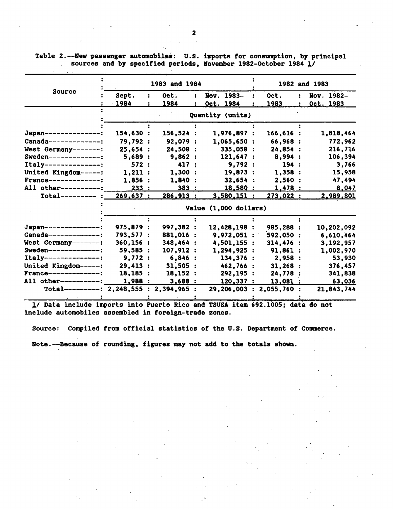|                                          |           | 1983 and 1984 |           | 1982 and 1983         |                                    |           |           |            |  |  |
|------------------------------------------|-----------|---------------|-----------|-----------------------|------------------------------------|-----------|-----------|------------|--|--|
| Source                                   | Sept.     |               | Oct.      | $\ddot{\phantom{a}}$  | Nov. 1983-<br>$\ddot{\phantom{a}}$ | Oct.      | $\bullet$ | Nov. 1982- |  |  |
|                                          | $-1984$   |               | 1984      | $\ddot{\phantom{a}}$  | Oct. 1984                          | 1983      |           | Oct. 1983  |  |  |
|                                          |           |               |           |                       | Quantity (units)                   |           |           |            |  |  |
|                                          |           |               |           |                       |                                    |           |           |            |  |  |
| Japan--------------:                     | 154,630:  |               | 156,524:  |                       | 1,976,897:                         | 166,616:  |           | 1,818,464  |  |  |
| Canada--------------:                    | 79,792 :  |               | 92,079 :  |                       | 1,065,650:                         | 66,968 :  |           | 772,962    |  |  |
| West Germany-------:                     | 25,654:   |               | 24,508:   |                       | 335,058 :                          | 24,854 :  |           | 216,716    |  |  |
| Sweden--------------:                    | 5,689:    |               | 9,862:    |                       | 121,647:                           | 8,994:    |           | 106,394    |  |  |
| $Itally----------------:$                | 572:      |               | 417:      |                       | 9,792:                             | 194:      |           | 3,766      |  |  |
| United Kingdom-----:                     | 1,211:    |               | 1,300:    |                       | 19,873:                            | 1,358:    |           | 15,958     |  |  |
| France-------------:                     | 1,856:    |               | 1,840 :   |                       | $32,654$ :                         | 2,560:    |           | 47,494     |  |  |
| All other----------:                     | 233:      |               | 383:      |                       | 18,580:                            | 1,478:    |           | 8,047      |  |  |
| $Total-----$                             | 269,637:  |               | 286,913:  |                       | 3,580,151:                         | 273,022:  |           | 2,989,801  |  |  |
|                                          |           |               |           | Value (1,000 dollars) |                                    |           |           |            |  |  |
|                                          |           |               |           |                       |                                    |           |           |            |  |  |
| Japan---------------:                    | 975,879 : |               | 997,382 : |                       | 12,428,198 :                       | 985,288 : |           | 10,202,092 |  |  |
| Canada-------------:                     | 793,577:  |               | 881,016 : |                       | 9,972,051:                         | 592,050:  |           | 6,610,464  |  |  |
| West Germany-------:                     | 360.156:  |               | 348,464 : |                       | 4,501,155 :                        | 314,476:  |           | 3,192,957  |  |  |
| <b>Sweden-------------:</b>              | 59,585:   |               | 107,912:  |                       | 1,294,925:                         | 91,861:   |           | 1,002,970  |  |  |
| Italy---------------:                    | 9,772:    |               | 6,846:    |                       | 134,376:                           | 2,958 :   |           | 53,930     |  |  |
| United Kingdom-----:                     | 29,413 :  |               | 31,505:   |                       | 462,766 :                          | 31,268:   |           | 376,457    |  |  |
| <b>France--------------:</b>             | 18, 185:  |               | 18,152:   |                       | 292, 195:                          | 24,778    |           | 341,838    |  |  |
| All other----------:                     | 1,988 :   |               | 3,688:    |                       | 120,337:                           | 13,081:   |           | 63,036     |  |  |
| Total----------: 2,248,555 : 2,394,965 : |           |               |           |                       | 29,206,003 : 2,055,760 :           |           |           | 21,843,744 |  |  |
|                                          |           |               |           |                       |                                    |           |           |            |  |  |

Table 2.--New passenger automobiles: U.S. imports for consumption, by principal sources and by specified periods, November 1982-October 1984  $\underline{1}$ /

1/ Data include imports into Puerto Rico and TSUSA item 692.1005; data do not include automobiles assembled in foreign-trade zones.

Source: Compiled from official statistics of the U.S. Department of Commerce. Note.--Because of rounding, figures may not add to the totals shown.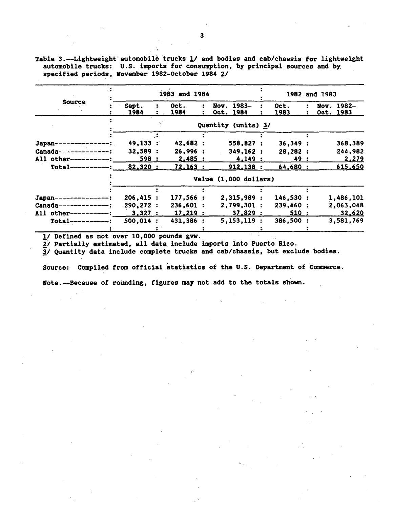Table 3.--Lightweight automobile trucks **1/** and bodies and cab/chassis for lightweight automobile trucks: **U.S.** imports for consumption, **by** principal sources and **by** specified periods, November 1982-October 1984 2/

|                       |               | 1982 and 1983         |                         |              |  |  |                                |
|-----------------------|---------------|-----------------------|-------------------------|--------------|--|--|--------------------------------|
| <b>Source</b>         | Sept.<br>1984 | Oct.<br><u> 1984 </u> | Nov. 1983-<br>Oct. 1984 | Oct.<br>1983 |  |  | Nov. 1982-<br><u>Oct. 1983</u> |
|                       |               |                       | Quantity (units) 3/     |              |  |  |                                |
|                       |               |                       |                         |              |  |  |                                |
| Japan-                | 49,133:       | 42,682 :              | 558,827:                | 36,349:      |  |  | 368,389                        |
| Canada--------------: | 32,589:       | 26,996:               | 349,162:                | 28,282:      |  |  | 244,982                        |
| All other----------:  | 598 :         | $2,485$ :             | 4,149:                  | 49 :         |  |  | 2,279                          |
| $Total-----$          | 82,320:       | 72,163:               | 912,138:                | 64,680 :     |  |  | 615,650                        |
|                       |               |                       | Value (1,000 dollars)   |              |  |  |                                |
|                       |               |                       |                         |              |  |  |                                |
| Japan--------------   | 206,415:      | 177,566:              | 2,315,989:              | 146,530 :    |  |  | 1,486,101                      |
| Canada-------------:  | 290.272:      | 236.601:              | 2,799,301:              | 239,460:     |  |  | 2,063,048                      |
| All other----------:  | 3,327:        | 17,219:               | 37,829:                 | 510:         |  |  | 32,620                         |
| $Total-----$          | 500,014:      | 431,386 :             | 5, 153, 119:            | 386,500 :    |  |  | 3,581,769                      |
|                       |               |                       |                         |              |  |  |                                |

**1/** Defined as not over **10,000** pounds gvw.

2/ Partially estimated, all data include imports into Puerto Rico.

**I/** Quantity data include complete trucks and cab/chassis, but exclude bodies.

Source: Compiled from official statistics of the U.S. Department of Commerce.

Note.--Because of rounding, figures may not add to the totals shown.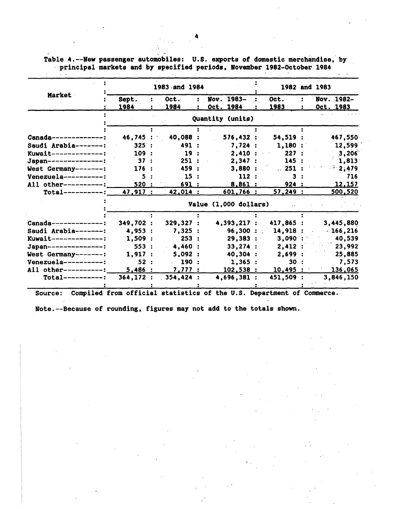Table 4.--New passenger automobiles: **U.S.** exports of domestic merchandise, **by** principal markets and **by** specified periods, November 1982-October 1984

|                           |           | 1983 and 1984         |                  |           | 1982 and 1983 |
|---------------------------|-----------|-----------------------|------------------|-----------|---------------|
| Market                    | Sept.     | Oct.<br>÷             | Nov. 1983-       | Oct.      | Nov. 1982-    |
|                           | 1984      | 1984                  | Oct. 1984        | 1983      | Oct. 1983     |
|                           |           |                       | Quantity (units) |           |               |
|                           |           |                       |                  |           |               |
| $Canada$ --------------;  | 46,745:   | 40,088 :              | 576,432:         | 54,519:   | 467,550       |
| Saudi Arabia-------:      | 325:      | 491 :                 | 7,724:           | 1,180:    | 12,599        |
| $Kuwait$ -------------:   | 109:      | 19:                   | 2.410:           | 227:      | 3,206         |
| Japan---------------:     | 37:       | 251:                  | 2,347:           | 145:      | 1,813         |
| West Germany-------:      | 176:      | 459 :                 | 3,880:           | .251:     | $-2,479$      |
| $Venezuela-----$          | 5:        | 15:                   | 112:             | 3.        | 716           |
| All other----------:      | 520 :     | 691:                  | 8,861:           | 924:      | 12,157        |
| $Total-----$              | 47,917:   | 42,014:               | 601,766:         | 57,249:   | 500,520       |
|                           |           | Value (1,000 dollars) |                  |           |               |
|                           |           |                       |                  |           |               |
| $Canada----------$        | 349,702 : | 329,327:              | 4,393,217 :      | 417,865 : | 3,445,880     |
| Saudi Arabia-------:      | 4,953 :   | 7,325:                | 96,300:          | 14,918:   | $-166, 216$   |
| Kuwait-<br>-------------! | 1,509:    | 253:                  | $29,383$ :       | $3,090$ : | 40,539        |
| Japan----------------:    | 553:      | 4,460:                | 33,274:          | 2,412:    | 23,992        |
| West Germany-------:      | 1,917:    | 5,092:                | 40,304:          | 2,699:    | 25,885        |
| $Venezuela-----$          | 52:       | . 190:                | 1,365:           | 30:       | 7,573         |
| All other----------:      | 5,486:    | 7,777:                | 102,538:         | 10,495:   | 136,065       |
| $Total-----$              | 364, 172: | 354,424:              | 4,696,381:       | 451,509 : | 3,846,150     |
|                           |           |                       |                  |           |               |

Source: Compiled from official statistics of the **U.S.** Department of Commerce.

Note.--Because of rounding, figures may not add to the totals shown.

4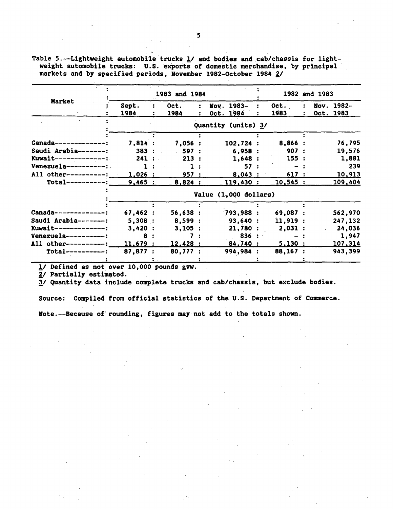|                         |                | 1983 and 1984 |                       |          | 1982 and 1983    |                |
|-------------------------|----------------|---------------|-----------------------|----------|------------------|----------------|
| Market                  | Sept.          | Oct.          | Nov. 1983-            | Oct.     | Nov. 1982-       |                |
|                         | 1984           | 1984          | Oct. 1984             | 1983     | <u>Oct. 1983</u> |                |
|                         |                |               | Quantity (units) 3/   |          |                  |                |
|                         |                |               |                       |          |                  |                |
| Canada--------------:   | 7,814:         | 7,056:        | 102,724:              | 8,866 :  |                  | 76,795         |
| Saudi Arabia-------:    | 383:           | 597:          | 6,958:                | 907:     |                  | 19,576         |
| Kuwait-------------:    | 241:           | 213:          | 1,648:                | 155:     |                  | 1,881          |
| $Venezuela-----$        | $\mathbf{1}$ : |               | 57:                   |          |                  | 239            |
| All other----------:    | 1,026:         | 957:          | 8,043:                | 617:     |                  | 10,913         |
| $Total-----$            | 9,465:         | 8,824:        | 119,430:              | 10,545:  |                  | 109,404        |
|                         |                |               | Value (1,000 dollars) |          |                  |                |
|                         |                |               |                       |          |                  |                |
| Canada-------------:    | 67,462:        | 56,638:       | 793,988:              | 69,087 : |                  | 562,970        |
| Saudi Arabia-------:    | 5,308:         | 8,599:        | 93,640 :              | 11,919:  |                  | 247,132        |
| $Kuwait$ -------------: | 3,420:         | 3,105:        | 21,780:               | 2,031:   |                  | 24,036         |
| Venezuela----------:    | 8              |               | 836:                  |          |                  | 1,947          |
| All other----------:    | 11,679:        | 12,428:       | 84,740 :              | 5,130:   |                  | <u>107,314</u> |
| $Total-----$            | 87,877:        | 80,777:       | 994,984               | 88,167:  |                  | 943,399        |
|                         |                |               |                       |          |                  |                |

Table 5.--Lightweight automobile trucks **1/** and bodies and cab/chassis **for** lightweight automobile trucks: U.S. exports of domestic merchandise, **by** principal markets and **by** specified periods, November 1982-October 1984 2/

**1/** Defined as not over **10,000** pounds gw.

2/ Partially estimated.

**I/** Quantity data include complete trucks and cab/chassis, but exclude bodies.

Source: Compiled from official statistics of the **U.S.** Department of Commerce.

Note.--Because of rounding, figures may not add to the totals shown.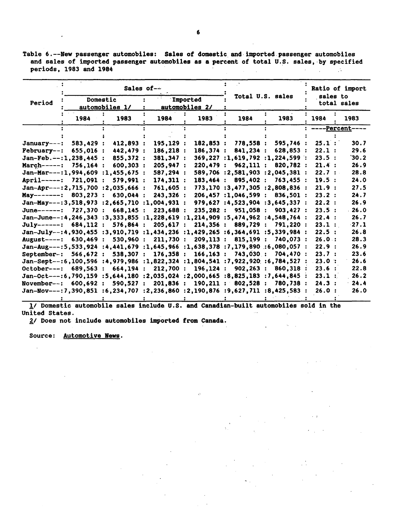Table 6. -- New passenger automobiles: Sales of domestic and imported passenger automobiles and sales of imported passenger automobiles **as** a percent of total **U.S.** sales, **by** specified periods, **1983** and 1984  $\sim 10^{-10}$  $\mathcal{L}^{\text{max}}$  $\sim 10^{11}$ 

|                                                                               |          |                            | Sales of-- |                            |                       |                                   | Ratio of import |                         |  |  |
|-------------------------------------------------------------------------------|----------|----------------------------|------------|----------------------------|-----------------------|-----------------------------------|-----------------|-------------------------|--|--|
| Period                                                                        |          | Domestic<br>automobiles 1/ |            | Imported<br>automobiles 2/ |                       | Total U.S. sales                  |                 | sales to<br>total sales |  |  |
|                                                                               | 1984     | 1983                       | 1984       | 1983                       | 1984                  | 1983                              | 1984            | 1983                    |  |  |
|                                                                               |          |                            |            |                            |                       |                                   |                 | <u>-Percent-</u>        |  |  |
|                                                                               |          |                            |            |                            |                       |                                   |                 |                         |  |  |
| $January---$ :                                                                | 583.429: | 412,893:                   | 195.129 :  | 182.853:                   | 778,558 :             | 595,746 :                         | 25.1:           | 30.7                    |  |  |
| $February--:$                                                                 | 655.016: | 442,479 :                  | 186,218 :  | 186.374:                   | 841,234:              | 628.853 :                         | 22.1:           | 29.6                    |  |  |
| $Jan-Feb. --: 1, 238, 445:$                                                   |          | 855.372:                   | 381.347:   |                            |                       | $369.227$ :1.619.792 :1.224.599 : | 23.5:           | 30.2                    |  |  |
| $March---:$                                                                   | 756.164: | 600, 303 :                 | 205,947:   | 220.479:                   | 962,111:              | 820.782 :                         | 21.4:           | 26.9                    |  |  |
| $Jan-Mar---:1,994,609:1,455,675:$                                             |          |                            | 587,294 :  |                            |                       | 589,706 :2,581,903 :2,045,381 :   | 22.7:           | 28.8                    |  |  |
| <b>April-----:</b>                                                            | 721,091: | 579.991:                   | 174,311:   | 183,464:                   | 895.402 :             | 763.455:                          | 19.5:           | 24.0                    |  |  |
| $Jan-Apr---:2,715,700 ::2,035,666 :$                                          |          |                            | 761,605:   |                            |                       | 773,170:3,477,305:2,808,836:      | 21.9:           | 27.5                    |  |  |
| May--------: $803.273$ :                                                      |          | 630,044 :                  | 243,326:   |                            | 206,457 :1,046,599 :  | 836.501 :                         | 23.2:           | 24.7                    |  |  |
| Jan-May---:3,518,973 :2,665,710 :1,004,931 :                                  |          |                            |            |                            |                       | 979,627 :4,523,904 :3,645,337 :   | 22.2:           | 26.9                    |  |  |
| June------: 727,370 :                                                         |          | 668.145:                   | 223,688 :  |                            | 235,282 : 951,058 :   | 903.427:                          | 23.5:           | .26.0                   |  |  |
| Jan-June--:4,246,343 :3,333,855 :1,228,619 :1,214,909 :5,474,962 :4,548,764 : |          |                            |            |                            |                       |                                   | 22.4:           | 26.7                    |  |  |
| $July-----: 684.112:$                                                         |          | 576.864:                   | 205.617:   | 214,356:                   | 889,729 :             | 791,220:                          | 23.1:           | $-27.1$                 |  |  |
| Jan-July--:4,930,455 :3,910,719 :1,434,236 :1,429,265 :6,364,691 :5,339,984 : |          |                            |            |                            |                       |                                   | 22.5:           | 26.8                    |  |  |
| August----: 630.469 :                                                         |          | 530.960:                   | 211.730:   | 209.113:                   | 815.199:              | 740.073 :                         | 26.0:           | 28.3                    |  |  |
| Jan-Aug---:5,533,924:4.441,679:1,645,966:1,638,378:7,179,890:6,080,057:       |          |                            |            |                            |                       |                                   | 22.9:           | 26.9                    |  |  |
| September-:                                                                   | 566.672: | 538.307 :                  | 176.358:   | 166, 163:                  | 743,030 :             | 704.470:                          | 23.7:           | 23.6                    |  |  |
| Jan-Sept--:6,100,596 :4,979,986 :1,822,324 :1,804,541 :7,922,920 :6,784,527   |          |                            |            |                            |                       |                                   | 23.0:           | 26.6                    |  |  |
| October---:                                                                   | 689.563: | 664, 194:                  | 212,700:   | 196, 124:                  | 902, 263:             | 860.318                           | 23.6:           | 22.8                    |  |  |
| Jan-Oct---:6,790,159:5,644,180:2,035,024:2,000,665:8,825,183:7,644,845        |          |                            |            |                            |                       |                                   | 23.1:           | 26.2                    |  |  |
| November--:                                                                   | 600.692: | 590,527:                   | 201,836:   |                            | 190, 211 : 802, 528 : | 780.738 :                         | 24.3:           | 24.4                    |  |  |
| Jan-Nov---:7,390,851 :6,234,707 :2,236,860 :2,190,876 :9,627,711 :8,425,583 : |          |                            |            |                            |                       |                                   | 26.0:           | 26.0                    |  |  |
|                                                                               |          |                            |            |                            |                       |                                   |                 |                         |  |  |

**1/** Domestic automobile sales include **U.S.** and Canadian-built automobiles sold in the United States.  $\sim$   $\sim$  $\mathcal{L}_{\text{max}}$  .  $\sim$ 

 $\zeta^{\prime}$ 

 $\mathcal{A}^{\mathcal{A}}_{\mathcal{A}}$  and  $\mathcal{A}^{\mathcal{A}}_{\mathcal{A}}$ 

 $\mathcal{L}^{\text{max}}$ 

2/ Does not include automobiles imported from Canada.

Source: Automotive News.

 $\mathbf{r}$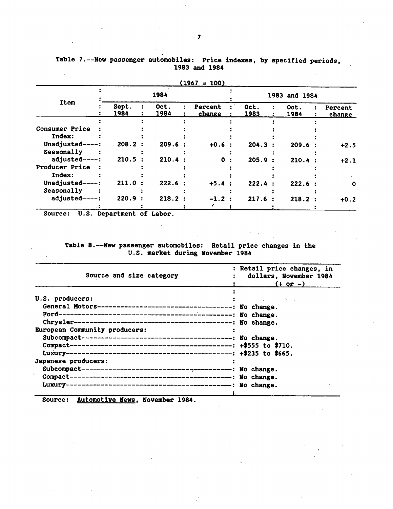|                       |               |              | $(1967 = 100)$    |              |               |                   |
|-----------------------|---------------|--------------|-------------------|--------------|---------------|-------------------|
| <b>Item</b>           |               | 1984         |                   |              | 1983 and 1984 |                   |
|                       | Sept.<br>1984 | Oct.<br>1984 | Percent<br>change | Oct.<br>1983 | Oct.<br>1984  | Percent<br>change |
|                       |               |              |                   |              |               |                   |
| <b>Consumer Price</b> |               |              |                   |              |               |                   |
| Index:                |               |              |                   |              |               |                   |
| Unadjusted--          | .208.2:       | 209.6:       | $+0.6$            | 204.3        | 209.6         | $+2.5$            |
| Seasonally            |               |              |                   |              |               |                   |
| adjusted----:         | 210.5         | 210.4        | 0                 | 205.9        | 210.4         | $+2.1$            |
| Producer Price        |               |              |                   |              |               |                   |
| Index:                |               |              |                   |              |               |                   |
| Unadjusted----:       | 211.0:        | 222.6        | $+5.4$            | 222.4        | 222.6         | o                 |
| Seasonally            |               |              |                   |              |               |                   |
| adjusted-             | 220.9         | 218.2:       | $-1.2$ :          | 217.6        | 218.2:        | $+0.2$            |
|                       |               |              |                   |              |               |                   |

Table 7.--New passenger automobiles: Price indexes, **by** specified periods, **1983** and 1984

Source: **U.S.** Department of Labor.

Table 8.--New passenger automobiles: Retail price changes in the **U.S.** market during November 1984

| Source and size category      | : Retail price changes, in<br>dollars, November 1984<br>$(+ or -)$ |
|-------------------------------|--------------------------------------------------------------------|
| U.S. producers:               |                                                                    |
|                               |                                                                    |
| European Community producers: |                                                                    |
| Japanese producers:           |                                                                    |

Source: Automotive News, November 1984.